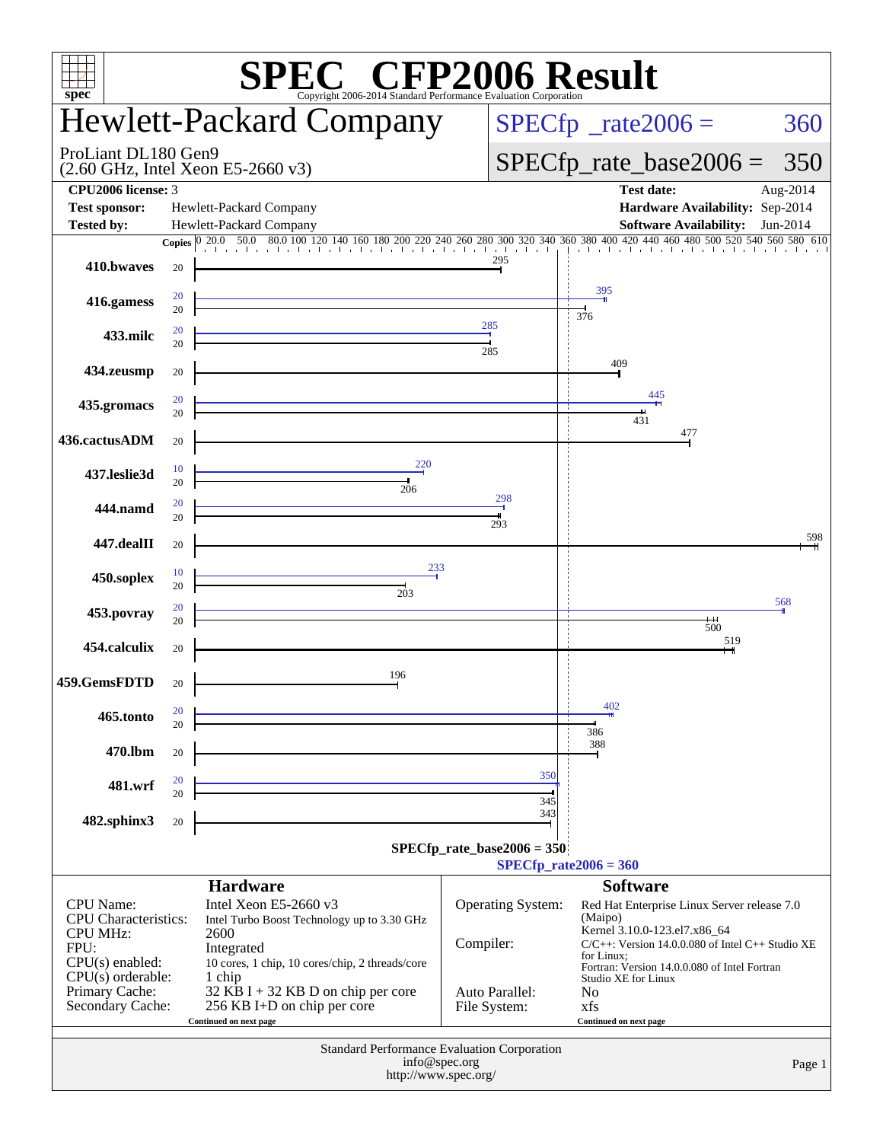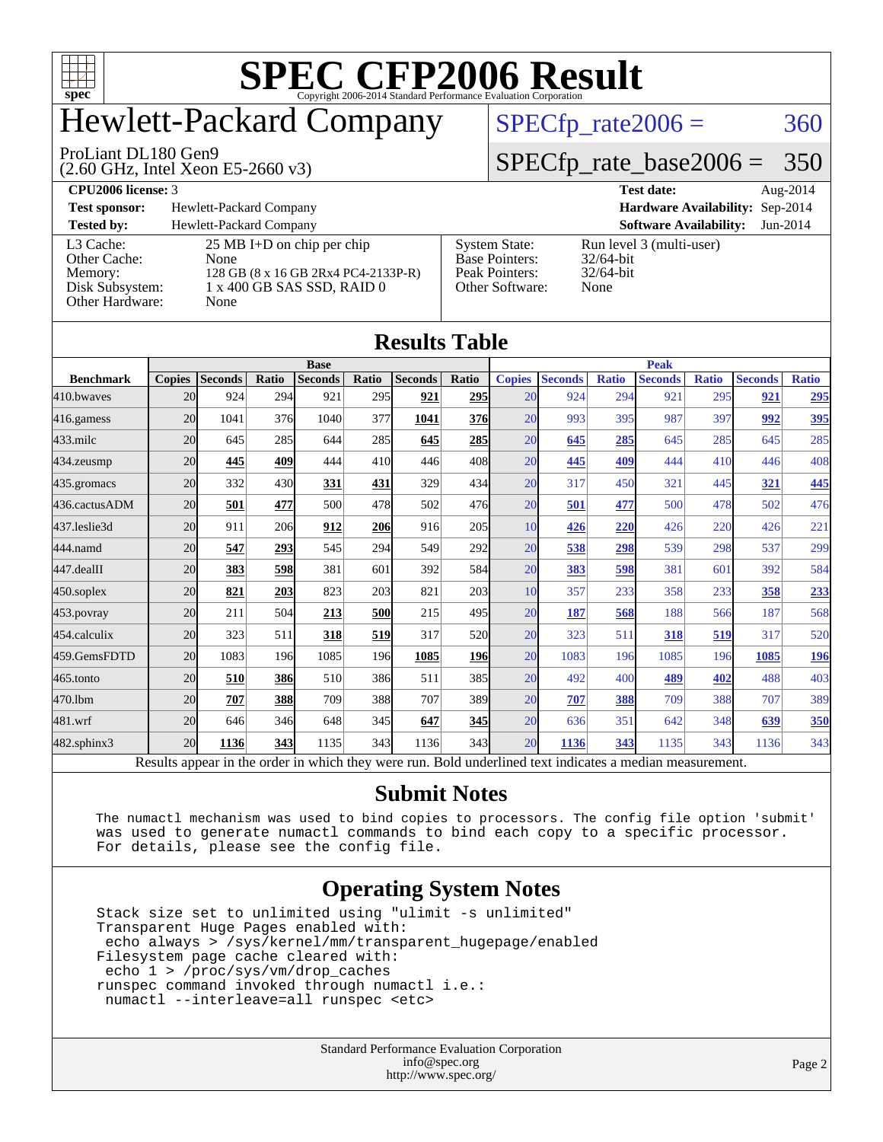

# Hewlett-Packard Company

[Memory:](http://www.spec.org/auto/cpu2006/Docs/result-fields.html#Memory) 128 GB (8 x 16 GB 2Rx4 PC4-2133P-R) [Disk Subsystem:](http://www.spec.org/auto/cpu2006/Docs/result-fields.html#DiskSubsystem) 1 x 400 GB SAS SSD, RAID 0

#### ProLiant DL180 Gen9

[Other Cache:](http://www.spec.org/auto/cpu2006/Docs/result-fields.html#OtherCache)

(2.60 GHz, Intel Xeon E5-2660 v3)

 $SPECTp_rate2006 = 360$ 

### [SPECfp\\_rate\\_base2006 =](http://www.spec.org/auto/cpu2006/Docs/result-fields.html#SPECfpratebase2006) 350

|                                                                  | _                               |                    |
|------------------------------------------------------------------|---------------------------------|--------------------|
| $\mathbf{D}$<br><b>2000</b><br>-neer<br>$\ldots$ are $\sim$<br>. | -<br>$^{\circ}$ $^{\circ}$<br>. | . .<br>л 11<br>гιυ |

[Other Hardware:](http://www.spec.org/auto/cpu2006/Docs/result-fields.html#OtherHardware) None

**[Test sponsor:](http://www.spec.org/auto/cpu2006/Docs/result-fields.html#Testsponsor)** Hewlett-Packard Company **[Hardware Availability:](http://www.spec.org/auto/cpu2006/Docs/result-fields.html#HardwareAvailability)** Sep-2014

**[Tested by:](http://www.spec.org/auto/cpu2006/Docs/result-fields.html#Testedby)** Hewlett-Packard Company **[Software Availability:](http://www.spec.org/auto/cpu2006/Docs/result-fields.html#SoftwareAvailability)** Jun-2014 [L3 Cache:](http://www.spec.org/auto/cpu2006/Docs/result-fields.html#L3Cache) 25 MB I+D on chip per chip<br>Other Cache: None

[Base Pointers:](http://www.spec.org/auto/cpu2006/Docs/result-fields.html#BasePointers) 32/64-bit<br>Peak Pointers: 32/64-bit [Peak Pointers:](http://www.spec.org/auto/cpu2006/Docs/result-fields.html#PeakPointers) [Other Software:](http://www.spec.org/auto/cpu2006/Docs/result-fields.html#OtherSoftware) None

[System State:](http://www.spec.org/auto/cpu2006/Docs/result-fields.html#SystemState) Run level 3 (multi-user)<br>Base Pointers: 32/64-bit

| <b>Results Table</b> |                 |                                                                                                          |       |                |                  |                |                  |               |                |              |                |              |                |              |
|----------------------|-----------------|----------------------------------------------------------------------------------------------------------|-------|----------------|------------------|----------------|------------------|---------------|----------------|--------------|----------------|--------------|----------------|--------------|
|                      | <b>Base</b>     |                                                                                                          |       |                |                  |                | <b>Peak</b>      |               |                |              |                |              |                |              |
| <b>Benchmark</b>     | <b>Copies</b>   | <b>Seconds</b>                                                                                           | Ratio | <b>Seconds</b> | Ratio            | <b>Seconds</b> | Ratio            | <b>Copies</b> | <b>Seconds</b> | <b>Ratio</b> | <b>Seconds</b> | <b>Ratio</b> | <b>Seconds</b> | <b>Ratio</b> |
| 410.bwayes           | 20              | 924                                                                                                      | 294   | 921            | 295              | 921            | <b>295</b>       | 20            | 924            | 294          | 921            | 295          | 921            | <u>295</u>   |
| 416.gamess           | 20 <sup>l</sup> | 1041                                                                                                     | 376   | 1040           | 377              | 1041           | 376              | 20            | 993            | 395          | 987            | 397          | 992            | 395          |
| $433$ .milc          | 20              | 645                                                                                                      | 285   | 644            | 285              | 645            | 285              | 20            | 645            | 285          | 645            | 285          | 645            | 285          |
| 434.zeusmp           | 20              | 445                                                                                                      | 409   | 444            | 41 <sub>0</sub>  | 446            | 408              | 20            | 445            | 409          | 444            | 410          | 446            | 408          |
| 435.gromacs          | 20              | 332                                                                                                      | 430   | 331            | 431              | 329            | 434              | 20            | 317            | 450          | 321            | 445          | 321            | 445          |
| 436.cactusADM        | 20              | 501                                                                                                      | 477   | 500            | 478              | 502            | 476              | 20            | 501            | 477          | 500            | 478          | 502            | 476          |
| 437.leslie3d         | 20              | 911                                                                                                      | 206   | 912            | 206              | 916            | 205              | 10            | 426            | 220          | 426            | 220          | 426            | 221          |
| 444.namd             | 20              | 547                                                                                                      | 293   | 545            | 294              | 549            | 292              | 20            | 538            | 298          | 539            | 298          | 537            | 299          |
| 447.dealII           | 20 <sup>l</sup> | 383                                                                                                      | 598   | 381            | 601              | 392            | 584              | 20            | 383            | 598          | 381            | 601          | 392            | 584          |
| $450$ .soplex        | 20              | 821                                                                                                      | 203   | 823            | 203              | 821            | 203              | 10            | 357            | 233          | 358            | 233          | 358            | 233          |
| 453.povray           | 20              | 211                                                                                                      | 504   | 213            | 500              | 215            | 495              | 20            | 187            | 568          | 188            | 566          | 187            | 568          |
| 454.calculix         | 20              | 323                                                                                                      | 511   | 318            | 519              | 317            | 520              | 20            | 323            | 511          | <b>318</b>     | 519          | 317            | 520          |
| 459.GemsFDTD         | 20              | 1083                                                                                                     | 196   | 1085           | 196              | 1085           | <b>196</b>       | 20            | 1083           | 196          | 1085           | 196          | 1085           | <u>196</u>   |
| 465.tonto            | 20 <sup>l</sup> | 510                                                                                                      | 386   | 510            | 386              | 511            | 385              | 20            | 492            | 400          | 489            | 402          | 488            | 403          |
| 470.1bm              | 20              | 707                                                                                                      | 388   | 709            | 388              | 707            | 389              | 20            | 707            | 388          | 709            | 388          | 707            | 389          |
| 481.wrf              | 20              | 646                                                                                                      | 346   | 648            | 345              | 647            | 345              | 20            | 636            | 351          | 642            | 348          | 639            | 350          |
| 482.sphinx3          | 20              | 1136                                                                                                     | 343   | 1135           | 343 <sup>I</sup> | 1136           | 343 <sup>I</sup> | 20            | 1136           | 343          | 1135           | 343          | 1136           | 343          |
|                      |                 | Results appear in the order in which they were run. Bold underlined text indicates a median measurement. |       |                |                  |                |                  |               |                |              |                |              |                |              |

### **[Submit Notes](http://www.spec.org/auto/cpu2006/Docs/result-fields.html#SubmitNotes)**

 The numactl mechanism was used to bind copies to processors. The config file option 'submit' was used to generate numactl commands to bind each copy to a specific processor. For details, please see the config file.

### **[Operating System Notes](http://www.spec.org/auto/cpu2006/Docs/result-fields.html#OperatingSystemNotes)**

 Stack size set to unlimited using "ulimit -s unlimited" Transparent Huge Pages enabled with: echo always > /sys/kernel/mm/transparent\_hugepage/enabled Filesystem page cache cleared with: echo 1 > /proc/sys/vm/drop\_caches runspec command invoked through numactl i.e.: numactl --interleave=all runspec <etc>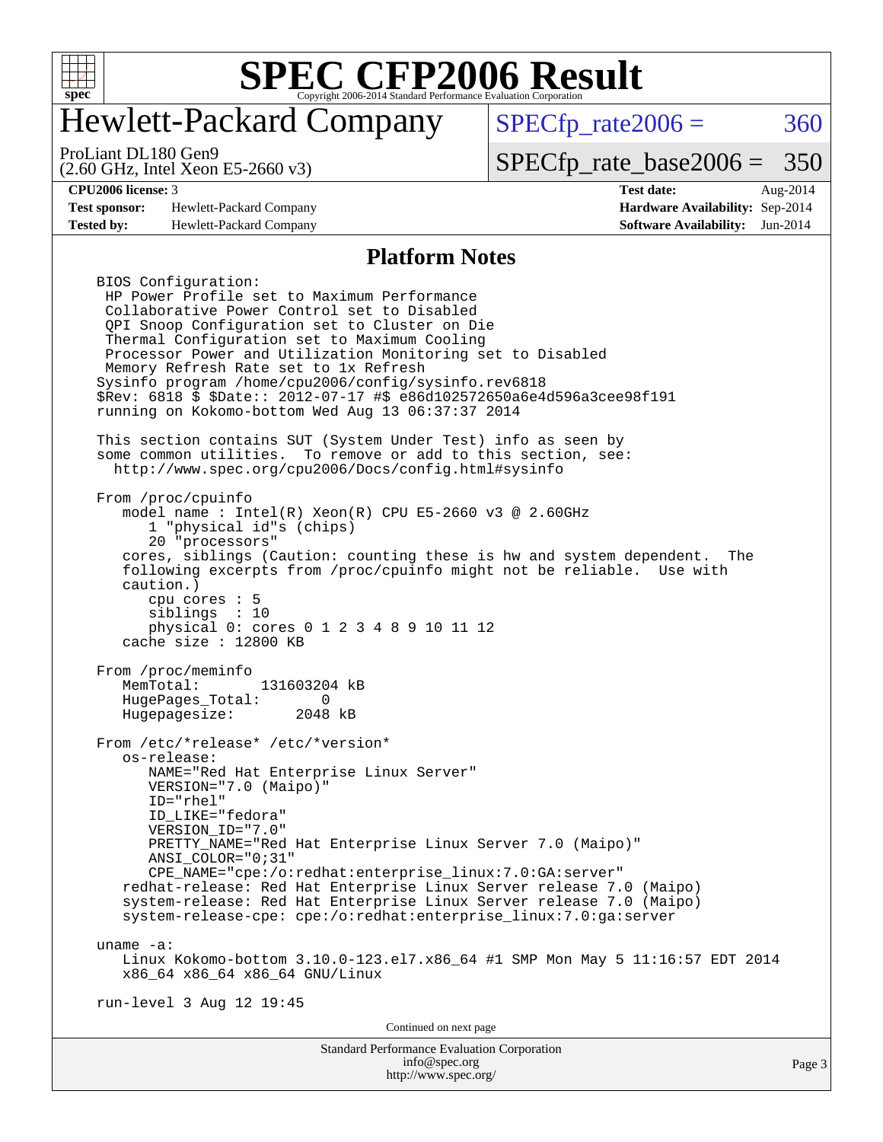

# Hewlett-Packard Company

 $SPECTp_rate2006 = 360$ 

(2.60 GHz, Intel Xeon E5-2660 v3) ProLiant DL180 Gen9

[SPECfp\\_rate\\_base2006 =](http://www.spec.org/auto/cpu2006/Docs/result-fields.html#SPECfpratebase2006) 350

**[Test sponsor:](http://www.spec.org/auto/cpu2006/Docs/result-fields.html#Testsponsor)** Hewlett-Packard Company **[Hardware Availability:](http://www.spec.org/auto/cpu2006/Docs/result-fields.html#HardwareAvailability)** Sep-2014 **[Tested by:](http://www.spec.org/auto/cpu2006/Docs/result-fields.html#Testedby)** Hewlett-Packard Company **[Software Availability:](http://www.spec.org/auto/cpu2006/Docs/result-fields.html#SoftwareAvailability)** Jun-2014

**[CPU2006 license:](http://www.spec.org/auto/cpu2006/Docs/result-fields.html#CPU2006license)** 3 **[Test date:](http://www.spec.org/auto/cpu2006/Docs/result-fields.html#Testdate)** Aug-2014

#### **[Platform Notes](http://www.spec.org/auto/cpu2006/Docs/result-fields.html#PlatformNotes)**

Standard Performance Evaluation Corporation BIOS Configuration: HP Power Profile set to Maximum Performance Collaborative Power Control set to Disabled QPI Snoop Configuration set to Cluster on Die Thermal Configuration set to Maximum Cooling Processor Power and Utilization Monitoring set to Disabled Memory Refresh Rate set to 1x Refresh Sysinfo program /home/cpu2006/config/sysinfo.rev6818 \$Rev: 6818 \$ \$Date:: 2012-07-17 #\$ e86d102572650a6e4d596a3cee98f191 running on Kokomo-bottom Wed Aug 13 06:37:37 2014 This section contains SUT (System Under Test) info as seen by some common utilities. To remove or add to this section, see: <http://www.spec.org/cpu2006/Docs/config.html#sysinfo> From /proc/cpuinfo model name : Intel(R) Xeon(R) CPU E5-2660 v3 @ 2.60GHz 1 "physical id"s (chips) 20 "processors" cores, siblings (Caution: counting these is hw and system dependent. The following excerpts from /proc/cpuinfo might not be reliable. Use with caution.) cpu cores : 5 siblings : 10 physical 0: cores 0 1 2 3 4 8 9 10 11 12 cache size : 12800 KB From /proc/meminfo<br>MemTotal: 131603204 kB HugePages\_Total: 0 Hugepagesize: 2048 kB From /etc/\*release\* /etc/\*version\* os-release: NAME="Red Hat Enterprise Linux Server" VERSION="7.0 (Maipo)" ID="rhel" ID\_LIKE="fedora" VERSION\_ID="7.0" PRETTY NAME="Red Hat Enterprise Linux Server 7.0 (Maipo)" ANSI\_COLOR="0;31" CPE\_NAME="cpe:/o:redhat:enterprise\_linux:7.0:GA:server" redhat-release: Red Hat Enterprise Linux Server release 7.0 (Maipo) system-release: Red Hat Enterprise Linux Server release 7.0 (Maipo) system-release-cpe: cpe:/o:redhat:enterprise\_linux:7.0:ga:server uname -a: Linux Kokomo-bottom 3.10.0-123.el7.x86\_64 #1 SMP Mon May 5 11:16:57 EDT 2014 x86\_64 x86\_64 x86\_64 GNU/Linux run-level 3 Aug 12 19:45 Continued on next page

[info@spec.org](mailto:info@spec.org) <http://www.spec.org/>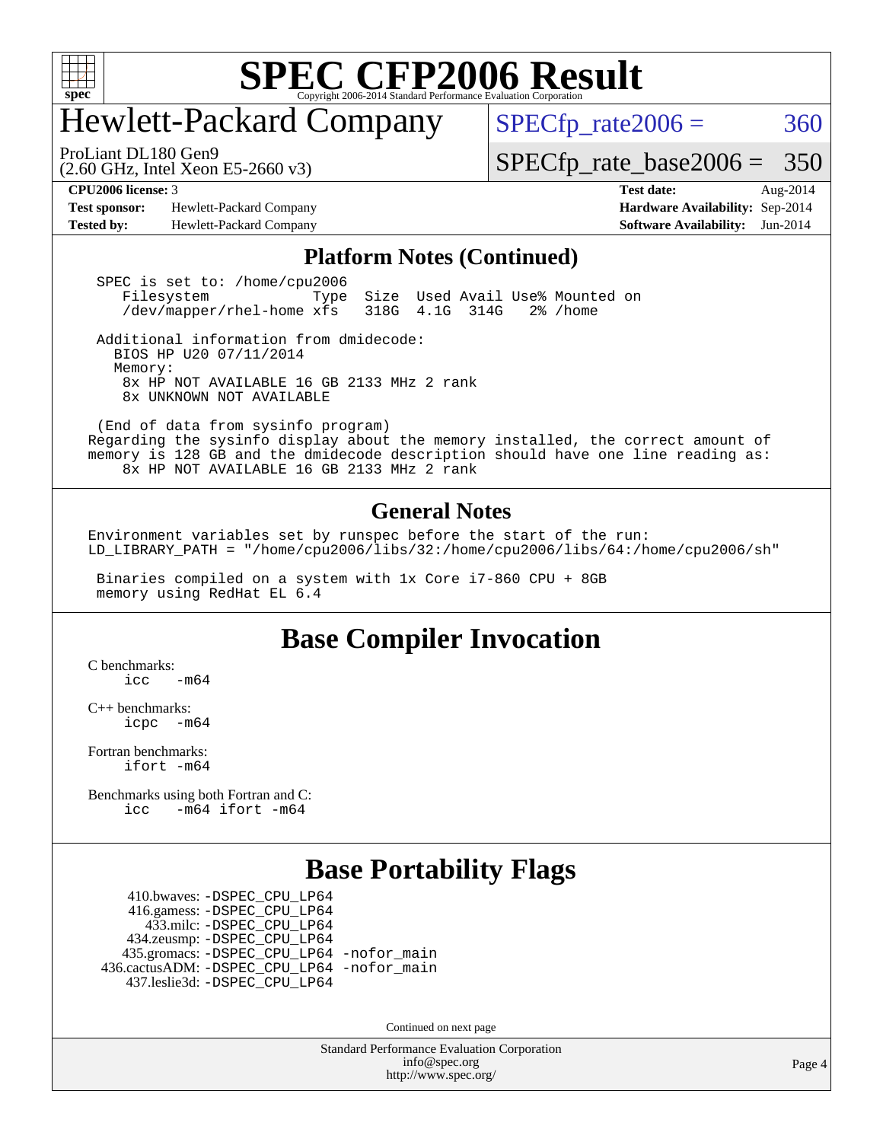

# Hewlett-Packard Company

 $SPECTp_rate2006 = 360$ 

(2.60 GHz, Intel Xeon E5-2660 v3) ProLiant DL180 Gen9

[SPECfp\\_rate\\_base2006 =](http://www.spec.org/auto/cpu2006/Docs/result-fields.html#SPECfpratebase2006) 350

**[Test sponsor:](http://www.spec.org/auto/cpu2006/Docs/result-fields.html#Testsponsor)** Hewlett-Packard Company **[Hardware Availability:](http://www.spec.org/auto/cpu2006/Docs/result-fields.html#HardwareAvailability)** Sep-2014 **[Tested by:](http://www.spec.org/auto/cpu2006/Docs/result-fields.html#Testedby)** Hewlett-Packard Company **[Software Availability:](http://www.spec.org/auto/cpu2006/Docs/result-fields.html#SoftwareAvailability)** Jun-2014

**[CPU2006 license:](http://www.spec.org/auto/cpu2006/Docs/result-fields.html#CPU2006license)** 3 **[Test date:](http://www.spec.org/auto/cpu2006/Docs/result-fields.html#Testdate)** Aug-2014

#### **[Platform Notes \(Continued\)](http://www.spec.org/auto/cpu2006/Docs/result-fields.html#PlatformNotes)**

SPEC is set to: /home/cpu2006<br>Filesystem Type Size Used Avail Use% Mounted on /dev/mapper/rhel-home xfs 318G 4.1G 314G 2% /home

 Additional information from dmidecode: BIOS HP U20 07/11/2014 Memory: 8x HP NOT AVAILABLE 16 GB 2133 MHz 2 rank 8x UNKNOWN NOT AVAILABLE

 (End of data from sysinfo program) Regarding the sysinfo display about the memory installed, the correct amount of memory is 128 GB and the dmidecode description should have one line reading as: 8x HP NOT AVAILABLE 16 GB 2133 MHz 2 rank

#### **[General Notes](http://www.spec.org/auto/cpu2006/Docs/result-fields.html#GeneralNotes)**

Environment variables set by runspec before the start of the run: LD\_LIBRARY\_PATH = "/home/cpu2006/libs/32:/home/cpu2006/libs/64:/home/cpu2006/sh"

 Binaries compiled on a system with 1x Core i7-860 CPU + 8GB memory using RedHat EL 6.4

### **[Base Compiler Invocation](http://www.spec.org/auto/cpu2006/Docs/result-fields.html#BaseCompilerInvocation)**

[C benchmarks](http://www.spec.org/auto/cpu2006/Docs/result-fields.html#Cbenchmarks):  $icc$   $-m64$ 

[C++ benchmarks:](http://www.spec.org/auto/cpu2006/Docs/result-fields.html#CXXbenchmarks) [icpc -m64](http://www.spec.org/cpu2006/results/res2014q3/cpu2006-20140908-31254.flags.html#user_CXXbase_intel_icpc_64bit_bedb90c1146cab66620883ef4f41a67e)

[Fortran benchmarks](http://www.spec.org/auto/cpu2006/Docs/result-fields.html#Fortranbenchmarks): [ifort -m64](http://www.spec.org/cpu2006/results/res2014q3/cpu2006-20140908-31254.flags.html#user_FCbase_intel_ifort_64bit_ee9d0fb25645d0210d97eb0527dcc06e)

[Benchmarks using both Fortran and C](http://www.spec.org/auto/cpu2006/Docs/result-fields.html#BenchmarksusingbothFortranandC): [icc -m64](http://www.spec.org/cpu2006/results/res2014q3/cpu2006-20140908-31254.flags.html#user_CC_FCbase_intel_icc_64bit_0b7121f5ab7cfabee23d88897260401c) [ifort -m64](http://www.spec.org/cpu2006/results/res2014q3/cpu2006-20140908-31254.flags.html#user_CC_FCbase_intel_ifort_64bit_ee9d0fb25645d0210d97eb0527dcc06e)

### **[Base Portability Flags](http://www.spec.org/auto/cpu2006/Docs/result-fields.html#BasePortabilityFlags)**

 410.bwaves: [-DSPEC\\_CPU\\_LP64](http://www.spec.org/cpu2006/results/res2014q3/cpu2006-20140908-31254.flags.html#suite_basePORTABILITY410_bwaves_DSPEC_CPU_LP64) 416.gamess: [-DSPEC\\_CPU\\_LP64](http://www.spec.org/cpu2006/results/res2014q3/cpu2006-20140908-31254.flags.html#suite_basePORTABILITY416_gamess_DSPEC_CPU_LP64) 433.milc: [-DSPEC\\_CPU\\_LP64](http://www.spec.org/cpu2006/results/res2014q3/cpu2006-20140908-31254.flags.html#suite_basePORTABILITY433_milc_DSPEC_CPU_LP64) 434.zeusmp: [-DSPEC\\_CPU\\_LP64](http://www.spec.org/cpu2006/results/res2014q3/cpu2006-20140908-31254.flags.html#suite_basePORTABILITY434_zeusmp_DSPEC_CPU_LP64) 435.gromacs: [-DSPEC\\_CPU\\_LP64](http://www.spec.org/cpu2006/results/res2014q3/cpu2006-20140908-31254.flags.html#suite_basePORTABILITY435_gromacs_DSPEC_CPU_LP64) [-nofor\\_main](http://www.spec.org/cpu2006/results/res2014q3/cpu2006-20140908-31254.flags.html#user_baseLDPORTABILITY435_gromacs_f-nofor_main) 436.cactusADM: [-DSPEC\\_CPU\\_LP64](http://www.spec.org/cpu2006/results/res2014q3/cpu2006-20140908-31254.flags.html#suite_basePORTABILITY436_cactusADM_DSPEC_CPU_LP64) [-nofor\\_main](http://www.spec.org/cpu2006/results/res2014q3/cpu2006-20140908-31254.flags.html#user_baseLDPORTABILITY436_cactusADM_f-nofor_main) 437.leslie3d: [-DSPEC\\_CPU\\_LP64](http://www.spec.org/cpu2006/results/res2014q3/cpu2006-20140908-31254.flags.html#suite_basePORTABILITY437_leslie3d_DSPEC_CPU_LP64)

Continued on next page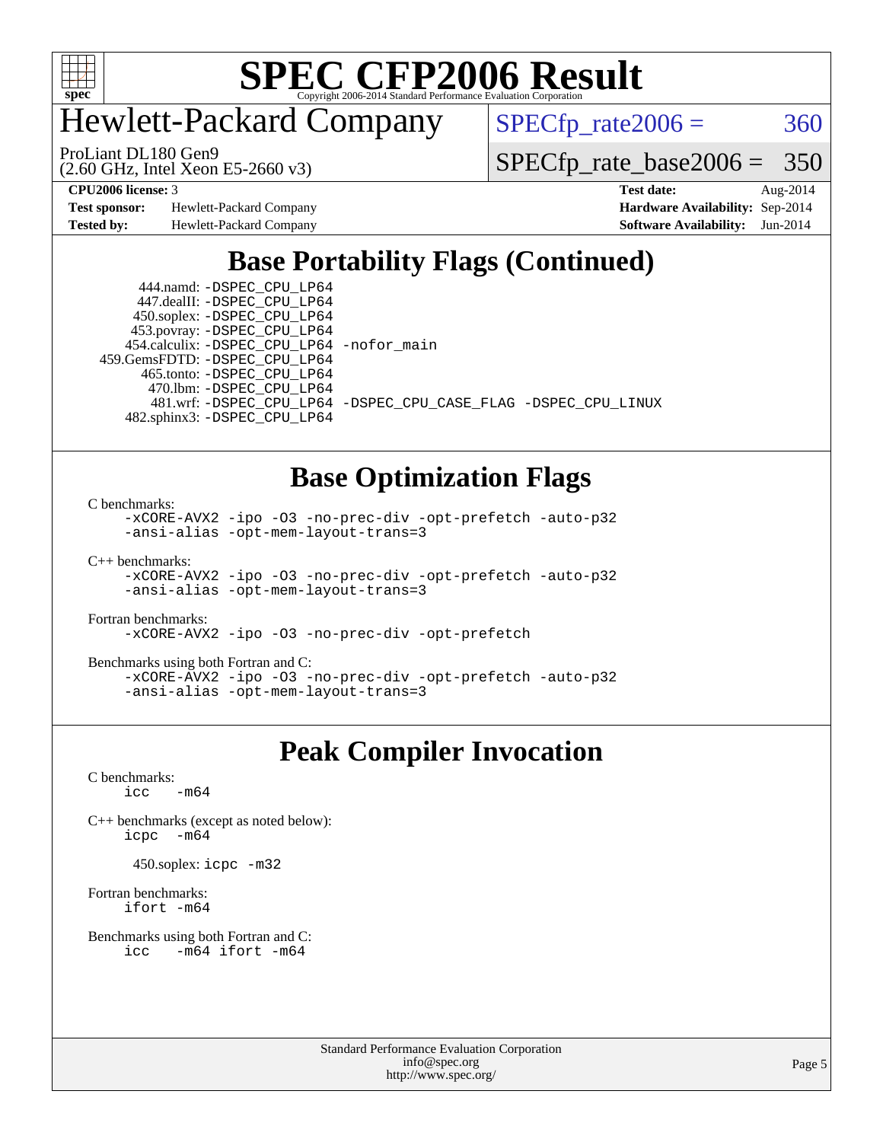

Hewlett-Packard Company

 $SPECTp_rate2006 = 360$ 

(2.60 GHz, Intel Xeon E5-2660 v3) ProLiant DL180 Gen9

[SPECfp\\_rate\\_base2006 =](http://www.spec.org/auto/cpu2006/Docs/result-fields.html#SPECfpratebase2006) 350

**[Test sponsor:](http://www.spec.org/auto/cpu2006/Docs/result-fields.html#Testsponsor)** Hewlett-Packard Company **[Hardware Availability:](http://www.spec.org/auto/cpu2006/Docs/result-fields.html#HardwareAvailability)** Sep-2014 **[Tested by:](http://www.spec.org/auto/cpu2006/Docs/result-fields.html#Testedby)** Hewlett-Packard Company **[Software Availability:](http://www.spec.org/auto/cpu2006/Docs/result-fields.html#SoftwareAvailability)** Jun-2014

**[CPU2006 license:](http://www.spec.org/auto/cpu2006/Docs/result-fields.html#CPU2006license)** 3 **[Test date:](http://www.spec.org/auto/cpu2006/Docs/result-fields.html#Testdate)** Aug-2014

# **[Base Portability Flags \(Continued\)](http://www.spec.org/auto/cpu2006/Docs/result-fields.html#BasePortabilityFlags)**

 444.namd: [-DSPEC\\_CPU\\_LP64](http://www.spec.org/cpu2006/results/res2014q3/cpu2006-20140908-31254.flags.html#suite_basePORTABILITY444_namd_DSPEC_CPU_LP64) 447.dealII: [-DSPEC\\_CPU\\_LP64](http://www.spec.org/cpu2006/results/res2014q3/cpu2006-20140908-31254.flags.html#suite_basePORTABILITY447_dealII_DSPEC_CPU_LP64) 450.soplex: [-DSPEC\\_CPU\\_LP64](http://www.spec.org/cpu2006/results/res2014q3/cpu2006-20140908-31254.flags.html#suite_basePORTABILITY450_soplex_DSPEC_CPU_LP64) 453.povray: [-DSPEC\\_CPU\\_LP64](http://www.spec.org/cpu2006/results/res2014q3/cpu2006-20140908-31254.flags.html#suite_basePORTABILITY453_povray_DSPEC_CPU_LP64) 454.calculix: [-DSPEC\\_CPU\\_LP64](http://www.spec.org/cpu2006/results/res2014q3/cpu2006-20140908-31254.flags.html#suite_basePORTABILITY454_calculix_DSPEC_CPU_LP64) [-nofor\\_main](http://www.spec.org/cpu2006/results/res2014q3/cpu2006-20140908-31254.flags.html#user_baseLDPORTABILITY454_calculix_f-nofor_main) 459.GemsFDTD: [-DSPEC\\_CPU\\_LP64](http://www.spec.org/cpu2006/results/res2014q3/cpu2006-20140908-31254.flags.html#suite_basePORTABILITY459_GemsFDTD_DSPEC_CPU_LP64) 465.tonto: [-DSPEC\\_CPU\\_LP64](http://www.spec.org/cpu2006/results/res2014q3/cpu2006-20140908-31254.flags.html#suite_basePORTABILITY465_tonto_DSPEC_CPU_LP64) 470.lbm: [-DSPEC\\_CPU\\_LP64](http://www.spec.org/cpu2006/results/res2014q3/cpu2006-20140908-31254.flags.html#suite_basePORTABILITY470_lbm_DSPEC_CPU_LP64) 482.sphinx3: [-DSPEC\\_CPU\\_LP64](http://www.spec.org/cpu2006/results/res2014q3/cpu2006-20140908-31254.flags.html#suite_basePORTABILITY482_sphinx3_DSPEC_CPU_LP64)

481.wrf: [-DSPEC\\_CPU\\_LP64](http://www.spec.org/cpu2006/results/res2014q3/cpu2006-20140908-31254.flags.html#suite_basePORTABILITY481_wrf_DSPEC_CPU_LP64) [-DSPEC\\_CPU\\_CASE\\_FLAG](http://www.spec.org/cpu2006/results/res2014q3/cpu2006-20140908-31254.flags.html#b481.wrf_baseCPORTABILITY_DSPEC_CPU_CASE_FLAG) [-DSPEC\\_CPU\\_LINUX](http://www.spec.org/cpu2006/results/res2014q3/cpu2006-20140908-31254.flags.html#b481.wrf_baseCPORTABILITY_DSPEC_CPU_LINUX)

### **[Base Optimization Flags](http://www.spec.org/auto/cpu2006/Docs/result-fields.html#BaseOptimizationFlags)**

[C benchmarks](http://www.spec.org/auto/cpu2006/Docs/result-fields.html#Cbenchmarks):

[-xCORE-AVX2](http://www.spec.org/cpu2006/results/res2014q3/cpu2006-20140908-31254.flags.html#user_CCbase_f-xAVX2_5f5fc0cbe2c9f62c816d3e45806c70d7) [-ipo](http://www.spec.org/cpu2006/results/res2014q3/cpu2006-20140908-31254.flags.html#user_CCbase_f-ipo) [-O3](http://www.spec.org/cpu2006/results/res2014q3/cpu2006-20140908-31254.flags.html#user_CCbase_f-O3) [-no-prec-div](http://www.spec.org/cpu2006/results/res2014q3/cpu2006-20140908-31254.flags.html#user_CCbase_f-no-prec-div) [-opt-prefetch](http://www.spec.org/cpu2006/results/res2014q3/cpu2006-20140908-31254.flags.html#user_CCbase_f-opt-prefetch) [-auto-p32](http://www.spec.org/cpu2006/results/res2014q3/cpu2006-20140908-31254.flags.html#user_CCbase_f-auto-p32) [-ansi-alias](http://www.spec.org/cpu2006/results/res2014q3/cpu2006-20140908-31254.flags.html#user_CCbase_f-ansi-alias) [-opt-mem-layout-trans=3](http://www.spec.org/cpu2006/results/res2014q3/cpu2006-20140908-31254.flags.html#user_CCbase_f-opt-mem-layout-trans_a7b82ad4bd7abf52556d4961a2ae94d5)

[C++ benchmarks:](http://www.spec.org/auto/cpu2006/Docs/result-fields.html#CXXbenchmarks)

[-xCORE-AVX2](http://www.spec.org/cpu2006/results/res2014q3/cpu2006-20140908-31254.flags.html#user_CXXbase_f-xAVX2_5f5fc0cbe2c9f62c816d3e45806c70d7) [-ipo](http://www.spec.org/cpu2006/results/res2014q3/cpu2006-20140908-31254.flags.html#user_CXXbase_f-ipo) [-O3](http://www.spec.org/cpu2006/results/res2014q3/cpu2006-20140908-31254.flags.html#user_CXXbase_f-O3) [-no-prec-div](http://www.spec.org/cpu2006/results/res2014q3/cpu2006-20140908-31254.flags.html#user_CXXbase_f-no-prec-div) [-opt-prefetch](http://www.spec.org/cpu2006/results/res2014q3/cpu2006-20140908-31254.flags.html#user_CXXbase_f-opt-prefetch) [-auto-p32](http://www.spec.org/cpu2006/results/res2014q3/cpu2006-20140908-31254.flags.html#user_CXXbase_f-auto-p32) [-ansi-alias](http://www.spec.org/cpu2006/results/res2014q3/cpu2006-20140908-31254.flags.html#user_CXXbase_f-ansi-alias) [-opt-mem-layout-trans=3](http://www.spec.org/cpu2006/results/res2014q3/cpu2006-20140908-31254.flags.html#user_CXXbase_f-opt-mem-layout-trans_a7b82ad4bd7abf52556d4961a2ae94d5)

[Fortran benchmarks](http://www.spec.org/auto/cpu2006/Docs/result-fields.html#Fortranbenchmarks): [-xCORE-AVX2](http://www.spec.org/cpu2006/results/res2014q3/cpu2006-20140908-31254.flags.html#user_FCbase_f-xAVX2_5f5fc0cbe2c9f62c816d3e45806c70d7) [-ipo](http://www.spec.org/cpu2006/results/res2014q3/cpu2006-20140908-31254.flags.html#user_FCbase_f-ipo) [-O3](http://www.spec.org/cpu2006/results/res2014q3/cpu2006-20140908-31254.flags.html#user_FCbase_f-O3) [-no-prec-div](http://www.spec.org/cpu2006/results/res2014q3/cpu2006-20140908-31254.flags.html#user_FCbase_f-no-prec-div) [-opt-prefetch](http://www.spec.org/cpu2006/results/res2014q3/cpu2006-20140908-31254.flags.html#user_FCbase_f-opt-prefetch)

[Benchmarks using both Fortran and C](http://www.spec.org/auto/cpu2006/Docs/result-fields.html#BenchmarksusingbothFortranandC): [-xCORE-AVX2](http://www.spec.org/cpu2006/results/res2014q3/cpu2006-20140908-31254.flags.html#user_CC_FCbase_f-xAVX2_5f5fc0cbe2c9f62c816d3e45806c70d7) [-ipo](http://www.spec.org/cpu2006/results/res2014q3/cpu2006-20140908-31254.flags.html#user_CC_FCbase_f-ipo) [-O3](http://www.spec.org/cpu2006/results/res2014q3/cpu2006-20140908-31254.flags.html#user_CC_FCbase_f-O3) [-no-prec-div](http://www.spec.org/cpu2006/results/res2014q3/cpu2006-20140908-31254.flags.html#user_CC_FCbase_f-no-prec-div) [-opt-prefetch](http://www.spec.org/cpu2006/results/res2014q3/cpu2006-20140908-31254.flags.html#user_CC_FCbase_f-opt-prefetch) [-auto-p32](http://www.spec.org/cpu2006/results/res2014q3/cpu2006-20140908-31254.flags.html#user_CC_FCbase_f-auto-p32) [-ansi-alias](http://www.spec.org/cpu2006/results/res2014q3/cpu2006-20140908-31254.flags.html#user_CC_FCbase_f-ansi-alias) [-opt-mem-layout-trans=3](http://www.spec.org/cpu2006/results/res2014q3/cpu2006-20140908-31254.flags.html#user_CC_FCbase_f-opt-mem-layout-trans_a7b82ad4bd7abf52556d4961a2ae94d5)

# **[Peak Compiler Invocation](http://www.spec.org/auto/cpu2006/Docs/result-fields.html#PeakCompilerInvocation)**

[C benchmarks](http://www.spec.org/auto/cpu2006/Docs/result-fields.html#Cbenchmarks):  $\text{ice}$  -m64

[C++ benchmarks \(except as noted below\):](http://www.spec.org/auto/cpu2006/Docs/result-fields.html#CXXbenchmarksexceptasnotedbelow) [icpc -m64](http://www.spec.org/cpu2006/results/res2014q3/cpu2006-20140908-31254.flags.html#user_CXXpeak_intel_icpc_64bit_bedb90c1146cab66620883ef4f41a67e)

450.soplex: [icpc -m32](http://www.spec.org/cpu2006/results/res2014q3/cpu2006-20140908-31254.flags.html#user_peakCXXLD450_soplex_intel_icpc_4e5a5ef1a53fd332b3c49e69c3330699)

[Fortran benchmarks](http://www.spec.org/auto/cpu2006/Docs/result-fields.html#Fortranbenchmarks): [ifort -m64](http://www.spec.org/cpu2006/results/res2014q3/cpu2006-20140908-31254.flags.html#user_FCpeak_intel_ifort_64bit_ee9d0fb25645d0210d97eb0527dcc06e)

[Benchmarks using both Fortran and C](http://www.spec.org/auto/cpu2006/Docs/result-fields.html#BenchmarksusingbothFortranandC): [icc -m64](http://www.spec.org/cpu2006/results/res2014q3/cpu2006-20140908-31254.flags.html#user_CC_FCpeak_intel_icc_64bit_0b7121f5ab7cfabee23d88897260401c) [ifort -m64](http://www.spec.org/cpu2006/results/res2014q3/cpu2006-20140908-31254.flags.html#user_CC_FCpeak_intel_ifort_64bit_ee9d0fb25645d0210d97eb0527dcc06e)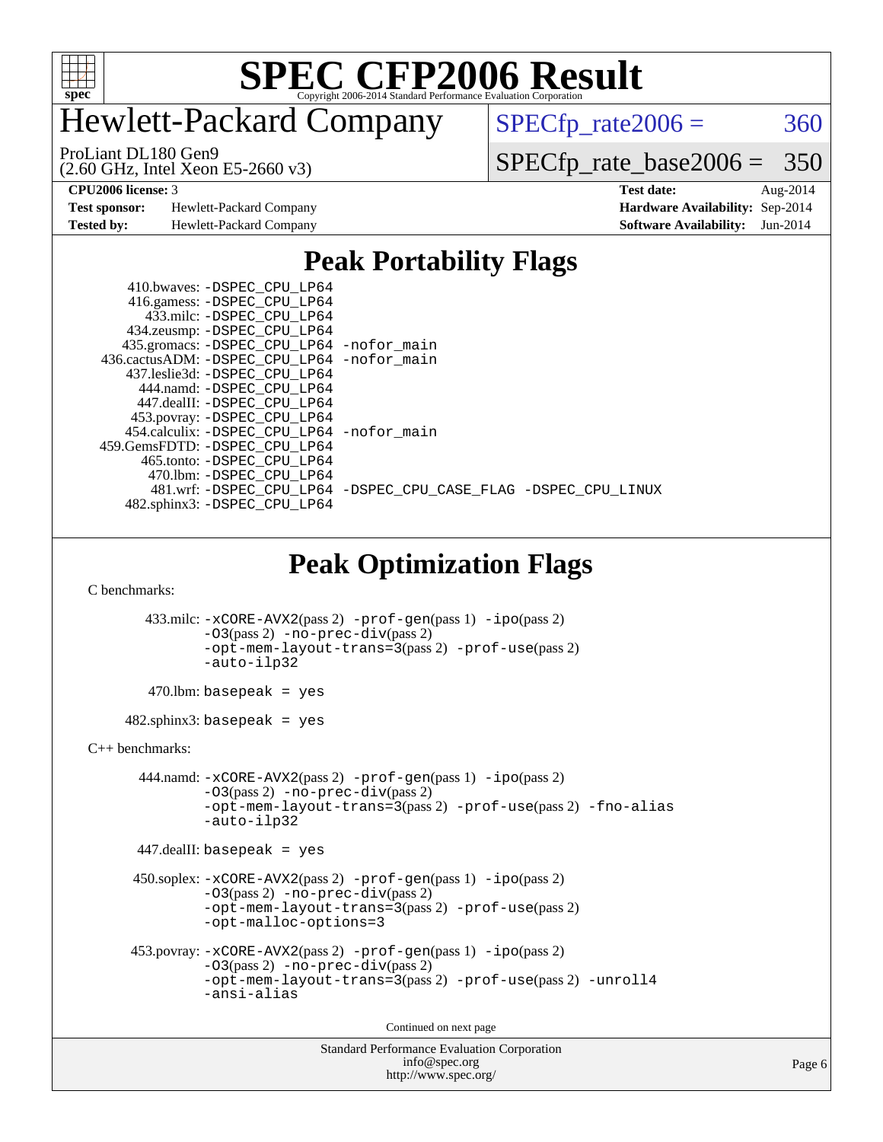

# Hewlett-Packard Company

 $SPECTp_rate2006 = 360$ 

(2.60 GHz, Intel Xeon E5-2660 v3) ProLiant DL180 Gen9

[SPECfp\\_rate\\_base2006 =](http://www.spec.org/auto/cpu2006/Docs/result-fields.html#SPECfpratebase2006) 350

**[Test sponsor:](http://www.spec.org/auto/cpu2006/Docs/result-fields.html#Testsponsor)** Hewlett-Packard Company **[Hardware Availability:](http://www.spec.org/auto/cpu2006/Docs/result-fields.html#HardwareAvailability)** Sep-2014

**[CPU2006 license:](http://www.spec.org/auto/cpu2006/Docs/result-fields.html#CPU2006license)** 3 **[Test date:](http://www.spec.org/auto/cpu2006/Docs/result-fields.html#Testdate)** Aug-2014 **[Tested by:](http://www.spec.org/auto/cpu2006/Docs/result-fields.html#Testedby)** Hewlett-Packard Company **[Software Availability:](http://www.spec.org/auto/cpu2006/Docs/result-fields.html#SoftwareAvailability)** Jun-2014

### **[Peak Portability Flags](http://www.spec.org/auto/cpu2006/Docs/result-fields.html#PeakPortabilityFlags)**

| 410.bwaves: -DSPEC CPU LP64                  |                                                                |
|----------------------------------------------|----------------------------------------------------------------|
| 416.gamess: -DSPEC_CPU_LP64                  |                                                                |
| 433.milc: -DSPEC CPU LP64                    |                                                                |
| 434.zeusmp: -DSPEC_CPU_LP64                  |                                                                |
| 435.gromacs: -DSPEC_CPU_LP64 -nofor_main     |                                                                |
| 436.cactusADM: - DSPEC CPU LP64 - nofor main |                                                                |
| 437.leslie3d: -DSPEC CPU LP64                |                                                                |
| 444.namd: -DSPEC CPU LP64                    |                                                                |
| 447.dealII: -DSPEC_CPU LP64                  |                                                                |
| 453.povray: -DSPEC_CPU_LP64                  |                                                                |
| 454.calculix: -DSPEC CPU LP64 -nofor main    |                                                                |
| 459.GemsFDTD: -DSPEC CPU LP64                |                                                                |
| 465.tonto: -DSPEC CPU LP64                   |                                                                |
| 470.1bm: - DSPEC CPU LP64                    |                                                                |
|                                              | 481.wrf: -DSPEC_CPU_LP64 -DSPEC_CPU_CASE_FLAG -DSPEC_CPU_LINUX |
| 482.sphinx3: -DSPEC_CPU_LP64                 |                                                                |

# **[Peak Optimization Flags](http://www.spec.org/auto/cpu2006/Docs/result-fields.html#PeakOptimizationFlags)**

[C benchmarks](http://www.spec.org/auto/cpu2006/Docs/result-fields.html#Cbenchmarks):

```
 433.milc: -xCORE-AVX2(pass 2) -prof-gen(pass 1) -ipo(pass 2)
                -O3(pass 2) -no-prec-div(pass 2)
                -opt-mem-layout-trans=3(pass 2) -prof-use(pass 2)
                -auto-ilp32
        470.lbm: basepeak = yes
     482.sphinx3: basepeak = yes
C++ benchmarks: 
        444.namd: -xCORE-AVX2(pass 2) -prof-gen(pass 1) -ipo(pass 2)
                -O3(pass 2) -no-prec-div(pass 2)
               -opt-mem-layout-trans=3(pass 2) -prof-use(pass 2) -fno-alias
                -auto-ilp32
       447.dealII: basepeak = yes
       450.soplex: -xCORE-AVX2(pass 2) -prof-gen(pass 1) -ipo(pass 2)
                -O3(pass 2) -no-prec-div(pass 2)
                -opt-mem-layout-trans=3(pass 2) -prof-use(pass 2)
                -opt-malloc-options=3
      453.povray: -xCORE-AVX2(pass 2) -prof-gen(pass 1) -ipo(pass 2)
                -O3(pass 2) -no-prec-div(pass 2)
                -opt-mem-layout-trans=3(pass 2) -prof-use(pass 2) -unroll4
               -ansi-alias
                                         Continued on next page
```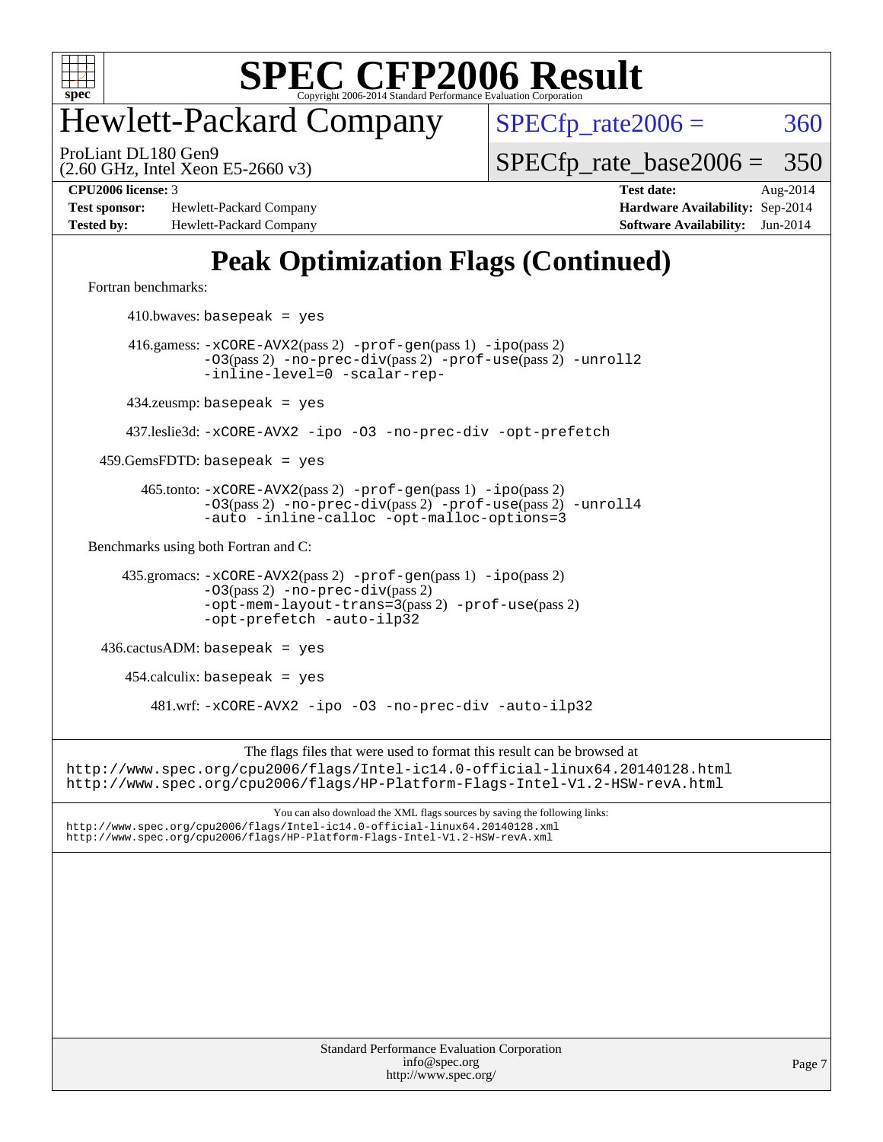

# Hewlett-Packard Company

 $SPECTp_rate2006 = 360$ 

(2.60 GHz, Intel Xeon E5-2660 v3) ProLiant DL180 Gen9

[SPECfp\\_rate\\_base2006 =](http://www.spec.org/auto/cpu2006/Docs/result-fields.html#SPECfpratebase2006) 350

**[Test sponsor:](http://www.spec.org/auto/cpu2006/Docs/result-fields.html#Testsponsor)** Hewlett-Packard Company **[Hardware Availability:](http://www.spec.org/auto/cpu2006/Docs/result-fields.html#HardwareAvailability)** Sep-2014 **[Tested by:](http://www.spec.org/auto/cpu2006/Docs/result-fields.html#Testedby)** Hewlett-Packard Company **[Software Availability:](http://www.spec.org/auto/cpu2006/Docs/result-fields.html#SoftwareAvailability)** Jun-2014

**[CPU2006 license:](http://www.spec.org/auto/cpu2006/Docs/result-fields.html#CPU2006license)** 3 **[Test date:](http://www.spec.org/auto/cpu2006/Docs/result-fields.html#Testdate)** Aug-2014

# **[Peak Optimization Flags \(Continued\)](http://www.spec.org/auto/cpu2006/Docs/result-fields.html#PeakOptimizationFlags)**

[Fortran benchmarks](http://www.spec.org/auto/cpu2006/Docs/result-fields.html#Fortranbenchmarks):

 $410.bwaves: basepeak = yes$  416.gamess: [-xCORE-AVX2](http://www.spec.org/cpu2006/results/res2014q3/cpu2006-20140908-31254.flags.html#user_peakPASS2_FFLAGSPASS2_LDFLAGS416_gamess_f-xAVX2_5f5fc0cbe2c9f62c816d3e45806c70d7)(pass 2) [-prof-gen](http://www.spec.org/cpu2006/results/res2014q3/cpu2006-20140908-31254.flags.html#user_peakPASS1_FFLAGSPASS1_LDFLAGS416_gamess_prof_gen_e43856698f6ca7b7e442dfd80e94a8fc)(pass 1) [-ipo](http://www.spec.org/cpu2006/results/res2014q3/cpu2006-20140908-31254.flags.html#user_peakPASS2_FFLAGSPASS2_LDFLAGS416_gamess_f-ipo)(pass 2) [-O3](http://www.spec.org/cpu2006/results/res2014q3/cpu2006-20140908-31254.flags.html#user_peakPASS2_FFLAGSPASS2_LDFLAGS416_gamess_f-O3)(pass 2) [-no-prec-div](http://www.spec.org/cpu2006/results/res2014q3/cpu2006-20140908-31254.flags.html#user_peakPASS2_FFLAGSPASS2_LDFLAGS416_gamess_f-no-prec-div)(pass 2) [-prof-use](http://www.spec.org/cpu2006/results/res2014q3/cpu2006-20140908-31254.flags.html#user_peakPASS2_FFLAGSPASS2_LDFLAGS416_gamess_prof_use_bccf7792157ff70d64e32fe3e1250b55)(pass 2) [-unroll2](http://www.spec.org/cpu2006/results/res2014q3/cpu2006-20140908-31254.flags.html#user_peakOPTIMIZE416_gamess_f-unroll_784dae83bebfb236979b41d2422d7ec2) [-inline-level=0](http://www.spec.org/cpu2006/results/res2014q3/cpu2006-20140908-31254.flags.html#user_peakOPTIMIZE416_gamess_f-inline-level_318d07a09274ad25e8d15dbfaa68ba50) [-scalar-rep-](http://www.spec.org/cpu2006/results/res2014q3/cpu2006-20140908-31254.flags.html#user_peakOPTIMIZE416_gamess_f-disablescalarrep_abbcad04450fb118e4809c81d83c8a1d) 434.zeusmp: basepeak = yes 437.leslie3d: [-xCORE-AVX2](http://www.spec.org/cpu2006/results/res2014q3/cpu2006-20140908-31254.flags.html#user_peakOPTIMIZE437_leslie3d_f-xAVX2_5f5fc0cbe2c9f62c816d3e45806c70d7) [-ipo](http://www.spec.org/cpu2006/results/res2014q3/cpu2006-20140908-31254.flags.html#user_peakOPTIMIZE437_leslie3d_f-ipo) [-O3](http://www.spec.org/cpu2006/results/res2014q3/cpu2006-20140908-31254.flags.html#user_peakOPTIMIZE437_leslie3d_f-O3) [-no-prec-div](http://www.spec.org/cpu2006/results/res2014q3/cpu2006-20140908-31254.flags.html#user_peakOPTIMIZE437_leslie3d_f-no-prec-div) [-opt-prefetch](http://www.spec.org/cpu2006/results/res2014q3/cpu2006-20140908-31254.flags.html#user_peakOPTIMIZE437_leslie3d_f-opt-prefetch)  $459.GemsFDTD: basepeak = yes$  465.tonto: [-xCORE-AVX2](http://www.spec.org/cpu2006/results/res2014q3/cpu2006-20140908-31254.flags.html#user_peakPASS2_FFLAGSPASS2_LDFLAGS465_tonto_f-xAVX2_5f5fc0cbe2c9f62c816d3e45806c70d7)(pass 2) [-prof-gen](http://www.spec.org/cpu2006/results/res2014q3/cpu2006-20140908-31254.flags.html#user_peakPASS1_FFLAGSPASS1_LDFLAGS465_tonto_prof_gen_e43856698f6ca7b7e442dfd80e94a8fc)(pass 1) [-ipo](http://www.spec.org/cpu2006/results/res2014q3/cpu2006-20140908-31254.flags.html#user_peakPASS2_FFLAGSPASS2_LDFLAGS465_tonto_f-ipo)(pass 2) [-O3](http://www.spec.org/cpu2006/results/res2014q3/cpu2006-20140908-31254.flags.html#user_peakPASS2_FFLAGSPASS2_LDFLAGS465_tonto_f-O3)(pass 2) [-no-prec-div](http://www.spec.org/cpu2006/results/res2014q3/cpu2006-20140908-31254.flags.html#user_peakPASS2_FFLAGSPASS2_LDFLAGS465_tonto_f-no-prec-div)(pass 2) [-prof-use](http://www.spec.org/cpu2006/results/res2014q3/cpu2006-20140908-31254.flags.html#user_peakPASS2_FFLAGSPASS2_LDFLAGS465_tonto_prof_use_bccf7792157ff70d64e32fe3e1250b55)(pass 2) [-unroll4](http://www.spec.org/cpu2006/results/res2014q3/cpu2006-20140908-31254.flags.html#user_peakOPTIMIZE465_tonto_f-unroll_4e5e4ed65b7fd20bdcd365bec371b81f) [-auto](http://www.spec.org/cpu2006/results/res2014q3/cpu2006-20140908-31254.flags.html#user_peakOPTIMIZE465_tonto_f-auto) [-inline-calloc](http://www.spec.org/cpu2006/results/res2014q3/cpu2006-20140908-31254.flags.html#user_peakOPTIMIZE465_tonto_f-inline-calloc) [-opt-malloc-options=3](http://www.spec.org/cpu2006/results/res2014q3/cpu2006-20140908-31254.flags.html#user_peakOPTIMIZE465_tonto_f-opt-malloc-options_13ab9b803cf986b4ee62f0a5998c2238) [Benchmarks using both Fortran and C](http://www.spec.org/auto/cpu2006/Docs/result-fields.html#BenchmarksusingbothFortranandC): 435.gromacs: [-xCORE-AVX2](http://www.spec.org/cpu2006/results/res2014q3/cpu2006-20140908-31254.flags.html#user_peakPASS2_CFLAGSPASS2_FFLAGSPASS2_LDFLAGS435_gromacs_f-xAVX2_5f5fc0cbe2c9f62c816d3e45806c70d7)(pass 2) [-prof-gen](http://www.spec.org/cpu2006/results/res2014q3/cpu2006-20140908-31254.flags.html#user_peakPASS1_CFLAGSPASS1_FFLAGSPASS1_LDFLAGS435_gromacs_prof_gen_e43856698f6ca7b7e442dfd80e94a8fc)(pass 1) [-ipo](http://www.spec.org/cpu2006/results/res2014q3/cpu2006-20140908-31254.flags.html#user_peakPASS2_CFLAGSPASS2_FFLAGSPASS2_LDFLAGS435_gromacs_f-ipo)(pass 2) [-O3](http://www.spec.org/cpu2006/results/res2014q3/cpu2006-20140908-31254.flags.html#user_peakPASS2_CFLAGSPASS2_FFLAGSPASS2_LDFLAGS435_gromacs_f-O3)(pass 2) [-no-prec-div](http://www.spec.org/cpu2006/results/res2014q3/cpu2006-20140908-31254.flags.html#user_peakPASS2_CFLAGSPASS2_FFLAGSPASS2_LDFLAGS435_gromacs_f-no-prec-div)(pass 2) [-opt-mem-layout-trans=3](http://www.spec.org/cpu2006/results/res2014q3/cpu2006-20140908-31254.flags.html#user_peakPASS2_CFLAGS435_gromacs_f-opt-mem-layout-trans_a7b82ad4bd7abf52556d4961a2ae94d5)(pass 2) [-prof-use](http://www.spec.org/cpu2006/results/res2014q3/cpu2006-20140908-31254.flags.html#user_peakPASS2_CFLAGSPASS2_FFLAGSPASS2_LDFLAGS435_gromacs_prof_use_bccf7792157ff70d64e32fe3e1250b55)(pass 2) [-opt-prefetch](http://www.spec.org/cpu2006/results/res2014q3/cpu2006-20140908-31254.flags.html#user_peakOPTIMIZE435_gromacs_f-opt-prefetch) [-auto-ilp32](http://www.spec.org/cpu2006/results/res2014q3/cpu2006-20140908-31254.flags.html#user_peakCOPTIMIZE435_gromacs_f-auto-ilp32) 436.cactusADM: basepeak = yes  $454$ .calculix: basepeak = yes 481.wrf: [-xCORE-AVX2](http://www.spec.org/cpu2006/results/res2014q3/cpu2006-20140908-31254.flags.html#user_peakOPTIMIZE481_wrf_f-xAVX2_5f5fc0cbe2c9f62c816d3e45806c70d7) [-ipo](http://www.spec.org/cpu2006/results/res2014q3/cpu2006-20140908-31254.flags.html#user_peakOPTIMIZE481_wrf_f-ipo) [-O3](http://www.spec.org/cpu2006/results/res2014q3/cpu2006-20140908-31254.flags.html#user_peakOPTIMIZE481_wrf_f-O3) [-no-prec-div](http://www.spec.org/cpu2006/results/res2014q3/cpu2006-20140908-31254.flags.html#user_peakOPTIMIZE481_wrf_f-no-prec-div) [-auto-ilp32](http://www.spec.org/cpu2006/results/res2014q3/cpu2006-20140908-31254.flags.html#user_peakCOPTIMIZE481_wrf_f-auto-ilp32) The flags files that were used to format this result can be browsed at <http://www.spec.org/cpu2006/flags/Intel-ic14.0-official-linux64.20140128.html> <http://www.spec.org/cpu2006/flags/HP-Platform-Flags-Intel-V1.2-HSW-revA.html> You can also download the XML flags sources by saving the following links: <http://www.spec.org/cpu2006/flags/Intel-ic14.0-official-linux64.20140128.xml> <http://www.spec.org/cpu2006/flags/HP-Platform-Flags-Intel-V1.2-HSW-revA.xml>